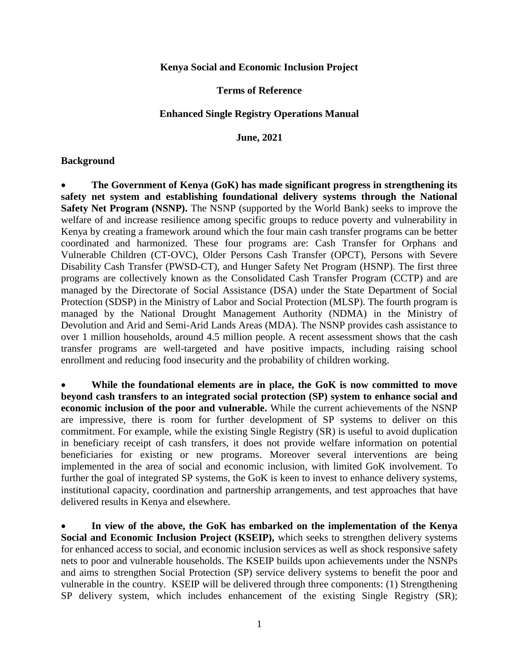#### **Kenya Social and Economic Inclusion Project**

#### **Terms of Reference**

#### **Enhanced Single Registry Operations Manual**

**June, 2021**

#### **Background**

 **The Government of Kenya (GoK) has made significant progress in strengthening its safety net system and establishing foundational delivery systems through the National Safety Net Program (NSNP).** The NSNP (supported by the World Bank) seeks to improve the welfare of and increase resilience among specific groups to reduce poverty and vulnerability in Kenya by creating a framework around which the four main cash transfer programs can be better coordinated and harmonized. These four programs are: Cash Transfer for Orphans and Vulnerable Children (CT-OVC), Older Persons Cash Transfer (OPCT), Persons with Severe Disability Cash Transfer (PWSD-CT), and Hunger Safety Net Program (HSNP). The first three programs are collectively known as the Consolidated Cash Transfer Program (CCTP) and are managed by the Directorate of Social Assistance (DSA) under the State Department of Social Protection (SDSP) in the Ministry of Labor and Social Protection (MLSP). The fourth program is managed by the National Drought Management Authority (NDMA) in the Ministry of Devolution and Arid and Semi-Arid Lands Areas (MDA). The NSNP provides cash assistance to over 1 million households, around 4.5 million people. A recent assessment shows that the cash transfer programs are well-targeted and have positive impacts, including raising school enrollment and reducing food insecurity and the probability of children working.

 **While the foundational elements are in place, the GoK is now committed to move beyond cash transfers to an integrated social protection (SP) system to enhance social and economic inclusion of the poor and vulnerable.** While the current achievements of the NSNP are impressive, there is room for further development of SP systems to deliver on this commitment. For example, while the existing Single Registry (SR) is useful to avoid duplication in beneficiary receipt of cash transfers, it does not provide welfare information on potential beneficiaries for existing or new programs. Moreover several interventions are being implemented in the area of social and economic inclusion, with limited GoK involvement. To further the goal of integrated SP systems, the GoK is keen to invest to enhance delivery systems, institutional capacity, coordination and partnership arrangements, and test approaches that have delivered results in Kenya and elsewhere.

 **In view of the above, the GoK has embarked on the implementation of the Kenya Social and Economic Inclusion Project (KSEIP),** which seeks to strengthen delivery systems for enhanced access to social, and economic inclusion services as well as shock responsive safety nets to poor and vulnerable households. The KSEIP builds upon achievements under the NSNPs and aims to strengthen Social Protection (SP) service delivery systems to benefit the poor and vulnerable in the country. KSEIP will be delivered through three components: (1) Strengthening SP delivery system, which includes enhancement of the existing Single Registry (SR);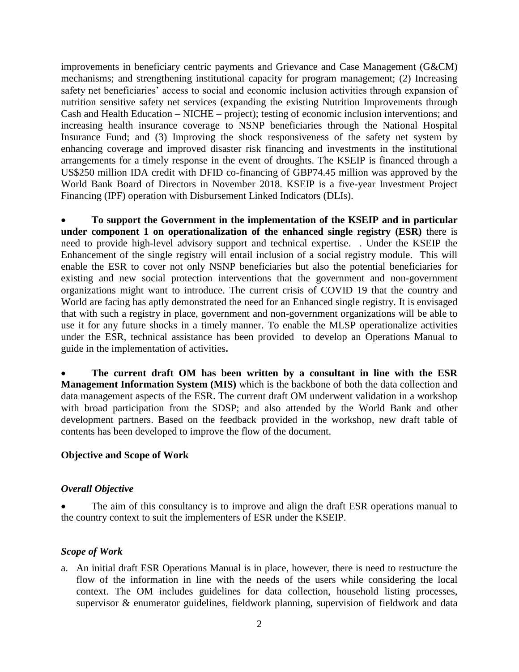improvements in beneficiary centric payments and Grievance and Case Management (G&CM) mechanisms; and strengthening institutional capacity for program management; (2) Increasing safety net beneficiaries' access to social and economic inclusion activities through expansion of nutrition sensitive safety net services (expanding the existing Nutrition Improvements through Cash and Health Education – NICHE – project); testing of economic inclusion interventions; and increasing health insurance coverage to NSNP beneficiaries through the National Hospital Insurance Fund; and (3) Improving the shock responsiveness of the safety net system by enhancing coverage and improved disaster risk financing and investments in the institutional arrangements for a timely response in the event of droughts. The KSEIP is financed through a US\$250 million IDA credit with DFID co-financing of GBP74.45 million was approved by the World Bank Board of Directors in November 2018. KSEIP is a five-year Investment Project Financing (IPF) operation with Disbursement Linked Indicators (DLIs).

 **To support the Government in the implementation of the KSEIP and in particular under component 1 on operationalization of the enhanced single registry (ESR)** there is need to provide high-level advisory support and technical expertise. . Under the KSEIP the Enhancement of the single registry will entail inclusion of a social registry module. This will enable the ESR to cover not only NSNP beneficiaries but also the potential beneficiaries for existing and new social protection interventions that the government and non-government organizations might want to introduce. The current crisis of COVID 19 that the country and World are facing has aptly demonstrated the need for an Enhanced single registry. It is envisaged that with such a registry in place, government and non-government organizations will be able to use it for any future shocks in a timely manner. To enable the MLSP operationalize activities under the ESR, technical assistance has been provided to develop an Operations Manual to guide in the implementation of activities**.** 

 **The current draft OM has been written by a consultant in line with the ESR Management Information System (MIS)** which is the backbone of both the data collection and data management aspects of the ESR. The current draft OM underwent validation in a workshop with broad participation from the SDSP; and also attended by the World Bank and other development partners. Based on the feedback provided in the workshop, new draft table of contents has been developed to improve the flow of the document.

# **Objective and Scope of Work**

### *Overall Objective*

 The aim of this consultancy is to improve and align the draft ESR operations manual to the country context to suit the implementers of ESR under the KSEIP.

### *Scope of Work*

a. An initial draft ESR Operations Manual is in place, however, there is need to restructure the flow of the information in line with the needs of the users while considering the local context. The OM includes guidelines for data collection, household listing processes, supervisor & enumerator guidelines, fieldwork planning, supervision of fieldwork and data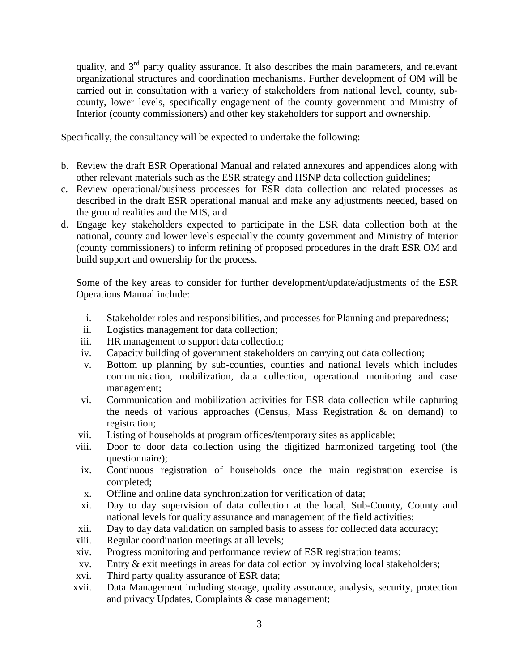quality, and  $3<sup>rd</sup>$  party quality assurance. It also describes the main parameters, and relevant organizational structures and coordination mechanisms. Further development of OM will be carried out in consultation with a variety of stakeholders from national level, county, subcounty, lower levels, specifically engagement of the county government and Ministry of Interior (county commissioners) and other key stakeholders for support and ownership.

Specifically, the consultancy will be expected to undertake the following:

- b. Review the draft ESR Operational Manual and related annexures and appendices along with other relevant materials such as the ESR strategy and HSNP data collection guidelines;
- c. Review operational/business processes for ESR data collection and related processes as described in the draft ESR operational manual and make any adjustments needed, based on the ground realities and the MIS, and
- d. Engage key stakeholders expected to participate in the ESR data collection both at the national, county and lower levels especially the county government and Ministry of Interior (county commissioners) to inform refining of proposed procedures in the draft ESR OM and build support and ownership for the process.

Some of the key areas to consider for further development/update/adjustments of the ESR Operations Manual include:

- i. Stakeholder roles and responsibilities, and processes for Planning and preparedness;
- ii. Logistics management for data collection;
- iii. HR management to support data collection;
- iv. Capacity building of government stakeholders on carrying out data collection;
- v. Bottom up planning by sub-counties, counties and national levels which includes communication, mobilization, data collection, operational monitoring and case management;
- vi. Communication and mobilization activities for ESR data collection while capturing the needs of various approaches (Census, Mass Registration & on demand) to registration;
- vii. Listing of households at program offices/temporary sites as applicable;
- viii. Door to door data collection using the digitized harmonized targeting tool (the questionnaire);
- ix. Continuous registration of households once the main registration exercise is completed;
- x. Offline and online data synchronization for verification of data;
- xi. Day to day supervision of data collection at the local, Sub-County, County and national levels for quality assurance and management of the field activities;
- xii. Day to day data validation on sampled basis to assess for collected data accuracy;
- xiii. Regular coordination meetings at all levels;
- xiv. Progress monitoring and performance review of ESR registration teams;
- xv. Entry & exit meetings in areas for data collection by involving local stakeholders;
- xvi. Third party quality assurance of ESR data;
- xvii. Data Management including storage, quality assurance, analysis, security, protection and privacy Updates, Complaints & case management;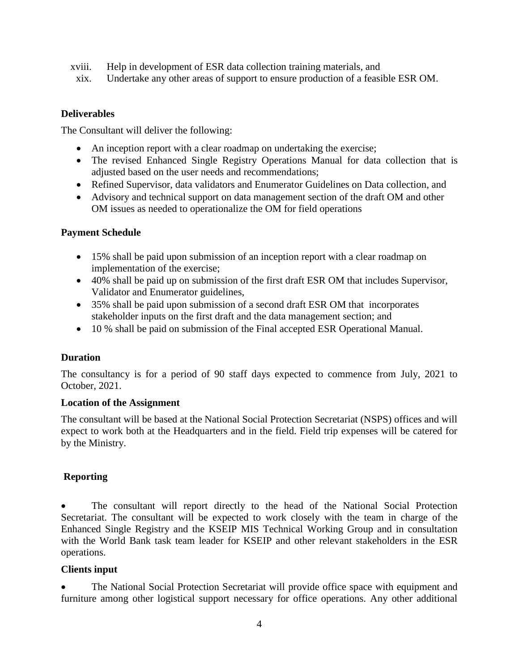- xviii. Help in development of ESR data collection training materials, and
	- xix. Undertake any other areas of support to ensure production of a feasible ESR OM.

## **Deliverables**

The Consultant will deliver the following:

- An inception report with a clear roadmap on undertaking the exercise;
- The revised Enhanced Single Registry Operations Manual for data collection that is adjusted based on the user needs and recommendations;
- Refined Supervisor, data validators and Enumerator Guidelines on Data collection, and
- Advisory and technical support on data management section of the draft OM and other OM issues as needed to operationalize the OM for field operations

## **Payment Schedule**

- 15% shall be paid upon submission of an inception report with a clear roadmap on implementation of the exercise;
- 40% shall be paid up on submission of the first draft ESR OM that includes Supervisor, Validator and Enumerator guidelines,
- 35% shall be paid upon submission of a second draft ESR OM that incorporates stakeholder inputs on the first draft and the data management section; and
- 10 % shall be paid on submission of the Final accepted ESR Operational Manual.

# **Duration**

The consultancy is for a period of 90 staff days expected to commence from July, 2021 to October, 2021.

### **Location of the Assignment**

The consultant will be based at the National Social Protection Secretariat (NSPS) offices and will expect to work both at the Headquarters and in the field. Field trip expenses will be catered for by the Ministry.

# **Reporting**

 The consultant will report directly to the head of the National Social Protection Secretariat. The consultant will be expected to work closely with the team in charge of the Enhanced Single Registry and the KSEIP MIS Technical Working Group and in consultation with the World Bank task team leader for KSEIP and other relevant stakeholders in the ESR operations.

### **Clients input**

 The National Social Protection Secretariat will provide office space with equipment and furniture among other logistical support necessary for office operations. Any other additional